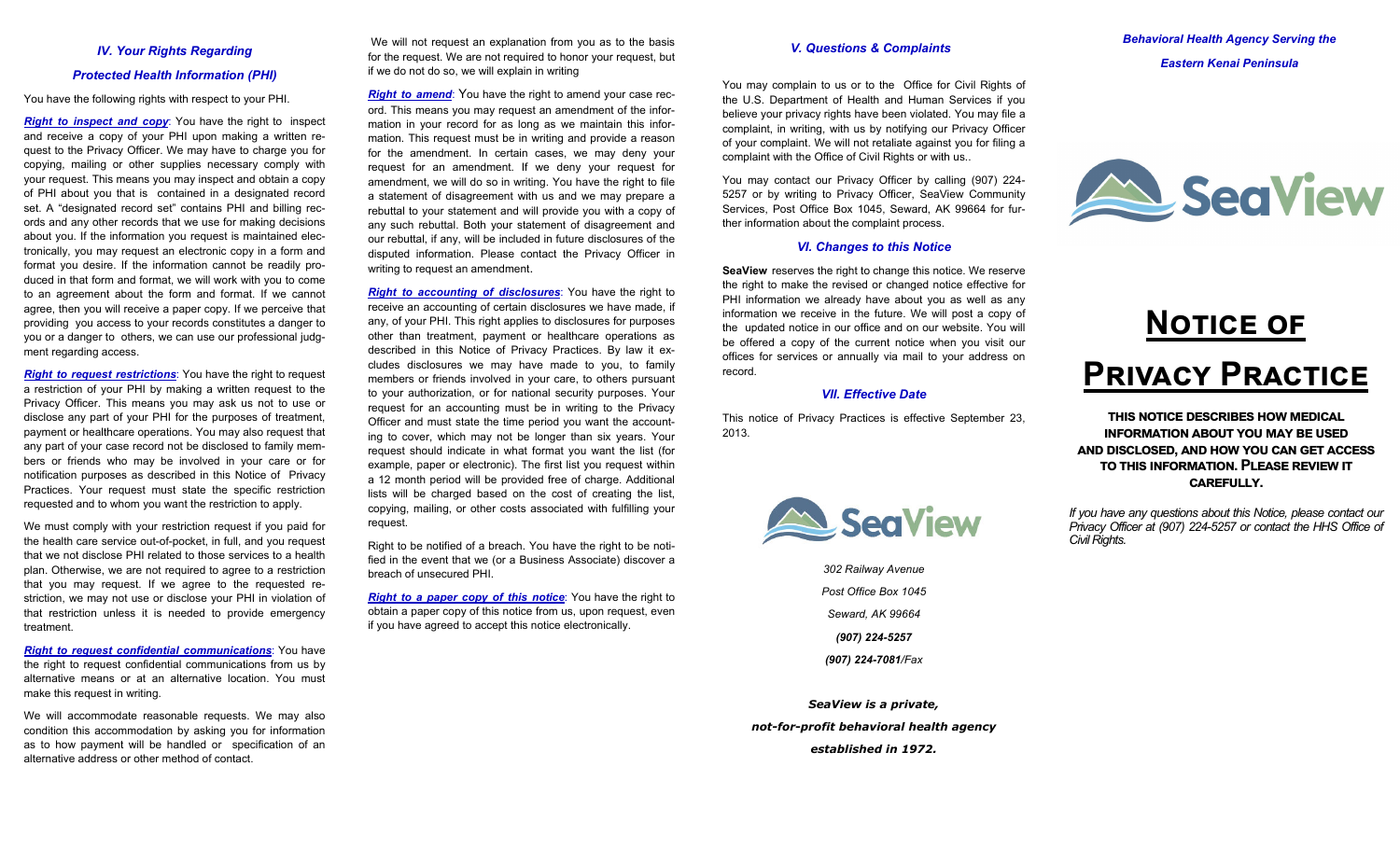# *IV. Your Rights Regarding Protected Health Information (PHI)*

You have the following rights with respect to your PHI.

*Right to inspect and copy*: You have the right to inspect and receive a copy of your PHI upon making a written request to the Privacy Officer. We may have to charge you for copying, mailing or other supplies necessary comply with your request. This means you may inspect and obtain a copy of PHI about you that is contained in a designated record set. A "designated record set" contains PHI and billing records and any other records that we use for making decisions about you. If the information you request is maintained electronically, you may request an electronic copy in a form and format you desire. If the information cannot be readily produced in that form and format, we will work with you to come to an agreement about the form and format. If we cannot agree, then you will receive a paper copy. If we perceive that providing you access to your records constitutes a danger to you or a danger to others, we can use our professional judgment regarding access.

*Right to request restrictions*: You have the right to request a restriction of your PHI by making a written request to the Privacy Officer. This means you may ask us not to use or disclose any part of your PHI for the purposes of treatment, payment or healthcare operations. You may also request that any part of your case record not be disclosed to family members or friends who may be involved in your care or for notification purposes as described in this Notice of Privacy Practices. Your request must state the specific restriction requested and to whom you want the restriction to apply.

We must comply with your restriction request if you paid for the health care service out-of-pocket, in full, and you request that we not disclose PHI related to those services to a health plan. Otherwise, we are not required to agree to a restriction that you may request. If we agree to the requested restriction, we may not use or disclose your PHI in violation of that restriction unless it is needed to provide emergency treatment.

*Right to request confidential communications*: You have the right to request confidential communications from us by alternative means or at an alternative location. You must make this request in writing.

We will accommodate reasonable requests. We may also condition this accommodation by asking you for information as to how payment will be handled or specification of an alternative address or other method of contact.

We will not request an explanation from you as to the basis for the request. We are not required to honor your request, but if we do not do so, we will explain in writing

*Right to amend:* You have the right to amend your case record. This means you may request an amendment of the information in your record for as long as we maintain this information. This request must be in writing and provide a reason for the amendment. In certain cases, we may deny your request for an amendment. If we deny your request for amendment, we will do so in writing. You have the right to file a statement of disagreement with us and we may prepare a rebuttal to your statement and will provide you with a copy of any such rebuttal. Both your statement of disagreement and our rebuttal, if any, will be included in future disclosures of the disputed information. Please contact the Privacy Officer in writing to request an amendment.

*Right to accounting of disclosures*: You have the right to receive an accounting of certain disclosures we have made, if any, of your PHI. This right applies to disclosures for purposes other than treatment, payment or healthcare operations as described in this Notice of Privacy Practices. By law it excludes disclosures we may have made to you, to family members or friends involved in your care, to others pursuant to your authorization, or for national security purposes. Your request for an accounting must be in writing to the Privacy Officer and must state the time period you want the accounting to cover, which may not be longer than six years. Your request should indicate in what format you want the list (for example, paper or electronic). The first list you request within a 12 month period will be provided free of charge. Additional lists will be charged based on the cost of creating the list, copying, mailing, or other costs associated with fulfilling your request.

Right to be notified of a breach. You have the right to be notified in the event that we (or a Business Associate) discover a breach of unsecured PHI.

*Right to a paper copy of this notice*: You have the right to obtain a paper copy of this notice from us, upon request, even if you have agreed to accept this notice electronically.

#### *V. Questions & Complaints*

You may complain to us or to the Office for Civil Rights of the U.S. Department of Health and Human Services if you believe your privacy rights have been violated. You may file a complaint, in writing, with us by notifying our Privacy Officer of your complaint. We will not retaliate against you for filing a complaint with the Office of Civil Rights or with us..

You may contact our Privacy Officer by calling (907) 224- 5257 or by writing to Privacy Officer, SeaView Community Services, Post Office Box 1045, Seward, AK 99664 for further information about the complaint process.

#### *VI. Changes to this Notice*

**SeaView** reserves the right to change this notice. We reserve the right to make the revised or changed notice effective for PHI information we already have about you as well as any information we receive in the future. We will post a copy of the updated notice in our office and on our website. You will be offered a copy of the current notice when you visit our offices for services or annually via mail to your address on record.

#### *VII. Effective Date*

This notice of Privacy Practices is effective September 23, 2013.



*302 Railway Avenue Post Office Box 1045 Seward, AK 99664 (907) 224-5257 (907) 224-7081/Fax*

*SeaView is a private, not-for-profit behavioral health agency established in 1972.* 

*Behavioral Health Agency Serving the Eastern Kenai Peninsula* 



# **NOTICE OF Pකඑඞඉඋඡ Pකඉඋගඑඋඍ**

**ගඐඑඛ ඖගඑඋඍ ඌඍඛඋකඑඊඍඛ ඐඟඕඍඌඑඋඉඔ**  $\blacksquare$  NFORMATION ABOUT YOU MAY BE USED **ඉඖඌ ඌඑඛඋඔඛඍඌ, ඉඖඌඐඟ ඡඝ උඉඖඏඍග ඉඋඋඍඛඛ**  $TO$  THIS INFORMATION. PLEASE REVIEW IT **උඉකඍඎඝඔඔඡ.** 

*If you have any questions about this Notice, please contact our Privacy Officer at (907) 224-5257 or contact the HHS Office of Civil Rights.*